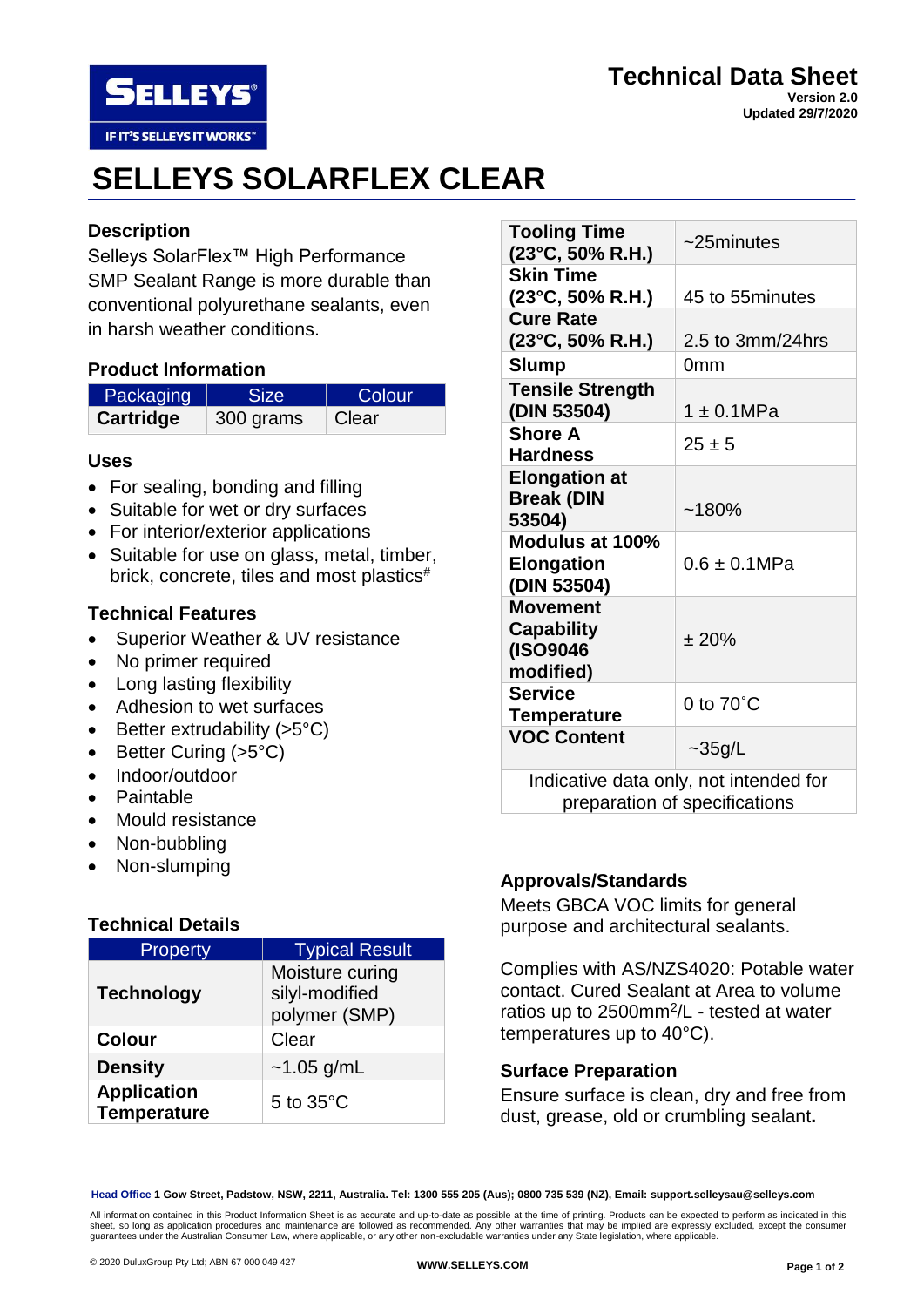

#### **Technical Data Sheet Version 2.0 Updated 29/7/2020**

# **SELLEYS SOLARFLEX CLEAR**

## **Description**

Selleys SolarFlex™ High Performance SMP Sealant Range is more durable than conventional polyurethane sealants, even in harsh weather conditions.

## **Product Information**

| Packaging | Size      | <b>Colour</b> |
|-----------|-----------|---------------|
| Cartridge | 300 grams | Clear         |

### **Uses**

- For sealing, bonding and filling
- Suitable for wet or dry surfaces
- For interior/exterior applications
- Suitable for use on glass, metal, timber, brick, concrete, tiles and most plastics#

## **Technical Features**

- Superior Weather & UV resistance
- No primer required
- Long lasting flexibility
- Adhesion to wet surfaces
- Better extrudability  $(>5°C)$
- Better Curing (>5°C)
- Indoor/outdoor
- Paintable
- Mould resistance
- Non-bubbling
- Non-slumping

## **Technical Details**

| Property                                 | <b>Typical Result</b>                              |
|------------------------------------------|----------------------------------------------------|
| <b>Technology</b>                        | Moisture curing<br>silyl-modified<br>polymer (SMP) |
| <b>Colour</b>                            | Clear                                              |
| <b>Density</b>                           | $~1.05$ g/mL                                       |
| <b>Application</b><br><b>Temperature</b> | 5 to $35^{\circ}$ C                                |

| <b>Tooling Time</b><br>$(23^{\circ}C, 50\% R.H.)$                       | $\sim$ 25minutes    |  |
|-------------------------------------------------------------------------|---------------------|--|
| <b>Skin Time</b><br>(23°C, 50% R.H.)                                    | 45 to 55minutes     |  |
| <b>Cure Rate</b><br>$(23^{\circ}C, 50\% R.H.)$                          | 2.5 to 3mm/24hrs    |  |
| <b>Slump</b>                                                            | 0mm                 |  |
| <b>Tensile Strength</b><br>(DIN 53504)                                  | $1 \pm 0.1 MPa$     |  |
| <b>Shore A</b><br><b>Hardness</b>                                       | $25 \pm 5$          |  |
| <b>Elongation at</b><br><b>Break (DIN</b><br>53504)                     | ~180%               |  |
| Modulus at 100%<br><b>Elongation</b><br>(DIN 53504)                     | $0.6 \pm 0.1$ MPa   |  |
| <b>Movement</b><br><b>Capability</b><br>(ISO9046<br>modified)           | ± 20%               |  |
| <b>Service</b><br><b>Temperature</b>                                    | 0 to $70^{\circ}$ C |  |
| <b>VOC Content</b>                                                      | $\sim$ 35g/L        |  |
| Indicative data only, not intended for<br>preparation of specifications |                     |  |

## **Approvals/Standards**

Meets GBCA VOC limits for general purpose and architectural sealants.

Complies with AS/NZS4020: Potable water contact. Cured Sealant at Area to volume ratios up to 2500mm<sup>2</sup>/L - tested at water temperatures up to 40°C).

## **Surface Preparation**

Ensure surface is clean, dry and free from dust, grease, old or crumbling sealant**.**

**Head Office 1 Gow Street, Padstow, NSW, 2211, Australia. Tel: 1300 555 205 (Aus); 0800 735 539 (NZ), Email: support.selleysau@selleys.com**

All information contained in this Product Information Sheet is as accurate and up-to-date as possible at the time of printing. Products can be expected to perform as indicated in this sheet, so long as application procedures and maintenance are followed as recommended. Any other warranties that may be implied are expressly excluded, except the consumer<br>guarantees under the Australian Consumer Law, where